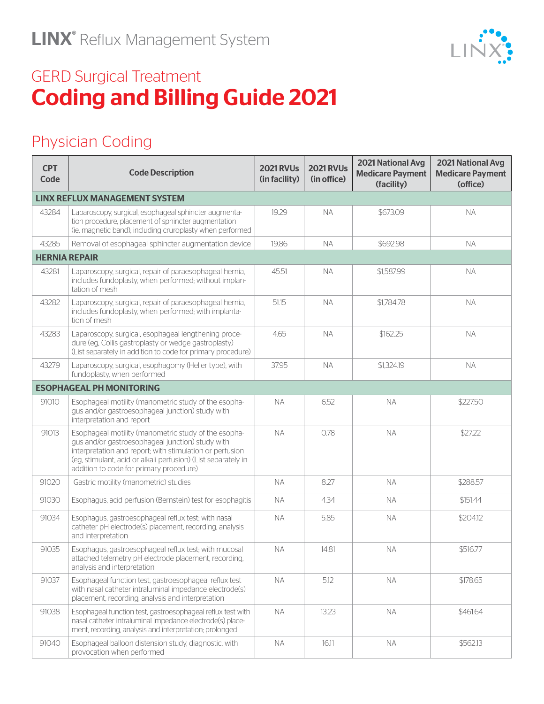

## Physician Coding

| <b>CPT</b><br>Code                   | <b>Code Description</b>                                                                                                                                                                                                                                                          | <b>2021 RVUs</b><br>(in facility) | <b>2021 RVUs</b><br>(in office) | <b>2021 National Avg</b><br><b>Medicare Payment</b><br>(facility) | <b>2021 National Avg</b><br><b>Medicare Payment</b><br>(office) |  |  |
|--------------------------------------|----------------------------------------------------------------------------------------------------------------------------------------------------------------------------------------------------------------------------------------------------------------------------------|-----------------------------------|---------------------------------|-------------------------------------------------------------------|-----------------------------------------------------------------|--|--|
| <b>LINX REFLUX MANAGEMENT SYSTEM</b> |                                                                                                                                                                                                                                                                                  |                                   |                                 |                                                                   |                                                                 |  |  |
| 43284                                | Laparoscopy, surgical, esophageal sphincter augmenta-<br>tion procedure, placement of sphincter augmentation<br>(ie, magnetic band), including cruroplasty when performed                                                                                                        | 19.29                             | <b>NA</b>                       | \$673.09                                                          | <b>NA</b>                                                       |  |  |
| 43285                                | Removal of esophageal sphincter augmentation device                                                                                                                                                                                                                              | 19.86                             | <b>NA</b>                       | \$692.98                                                          | <b>NA</b>                                                       |  |  |
| <b>HERNIA REPAIR</b>                 |                                                                                                                                                                                                                                                                                  |                                   |                                 |                                                                   |                                                                 |  |  |
| 43281                                | Laparoscopy, surgical, repair of paraesophageal hernia,<br>includes fundoplasty, when performed; without implan-<br>tation of mesh                                                                                                                                               | 45.51                             | <b>NA</b>                       | \$1,587.99                                                        | <b>NA</b>                                                       |  |  |
| 43282                                | Laparoscopy, surgical, repair of paraesophageal hernia,<br>includes fundoplasty, when performed; with implanta-<br>tion of mesh                                                                                                                                                  | 51.15                             | <b>NA</b>                       | \$1,784.78                                                        | <b>NA</b>                                                       |  |  |
| 43283                                | Laparoscopy, surgical, esophageal lengthening proce-<br>dure (eg, Collis gastroplasty or wedge gastroplasty)<br>(List separately in addition to code for primary procedure)                                                                                                      | 4.65                              | <b>NA</b>                       | \$162.25                                                          | <b>NA</b>                                                       |  |  |
| 43279                                | Laparoscopy, surgical, esophagomy (Heller type), with<br>fundoplasty, when performed                                                                                                                                                                                             | 37.95                             | <b>NA</b>                       | \$1,324.19                                                        | <b>NA</b>                                                       |  |  |
|                                      | <b>ESOPHAGEAL PH MONITORING</b>                                                                                                                                                                                                                                                  |                                   |                                 |                                                                   |                                                                 |  |  |
| 91010                                | Esophageal motility (manometric study of the esopha-<br>gus and/or gastroesophageal junction) study with<br>interpretation and report                                                                                                                                            | <b>NA</b>                         | 6.52                            | <b>NA</b>                                                         | \$227.50                                                        |  |  |
| 91013                                | Esophageal motility (manometric study of the esopha-<br>gus and/or gastroesophageal junction) study with<br>interpretation and report; with stimulation or perfusion<br>(eg, stimulant, acid or alkali perfusion) (List separately in<br>addition to code for primary procedure) | <b>NA</b>                         | 0.78                            | <b>NA</b>                                                         | \$27.22                                                         |  |  |
| 91020                                | Gastric motility (manometric) studies                                                                                                                                                                                                                                            | <b>NA</b>                         | 8.27                            | NA.                                                               | \$288.57                                                        |  |  |
| 91030                                | Esophagus, acid perfusion (Bernstein) test for esophagitis                                                                                                                                                                                                                       | <b>NA</b>                         | 4.34                            | <b>NA</b>                                                         | \$151.44                                                        |  |  |
| 91034                                | Esophagus, gastroesophageal reflux test; with nasal<br>catheter pH electrode(s) placement, recording, analysis<br>and interpretation                                                                                                                                             | <b>NA</b>                         | 5.85                            | <b>NA</b>                                                         | \$204.12                                                        |  |  |
| 91035                                | Esophagus, gastroesophageal reflux test; with mucosal<br>attached telemetry pH electrode placement, recording,<br>analysis and interpretation                                                                                                                                    | <b>NA</b>                         | 14.81                           | <b>NA</b>                                                         | \$516.77                                                        |  |  |
| 91037                                | Esophageal function test, gastroesophageal reflux test<br>with nasal catheter intraluminal impedance electrode(s)<br>placement, recording, analysis and interpretation                                                                                                           | <b>NA</b>                         | 5.12                            | <b>NA</b>                                                         | \$178.65                                                        |  |  |
| 91038                                | Esophageal function test, gastroesophageal reflux test with<br>nasal catheter intraluminal impedance electrode(s) place-<br>ment, recording, analysis and interpretation; prolonged                                                                                              | <b>NA</b>                         | 13.23                           | <b>NA</b>                                                         | \$461.64                                                        |  |  |
| 91040                                | Esophageal balloon distension study, diagnostic, with<br>provocation when performed                                                                                                                                                                                              | <b>NA</b>                         | 16.11                           | NA.                                                               | \$562.13                                                        |  |  |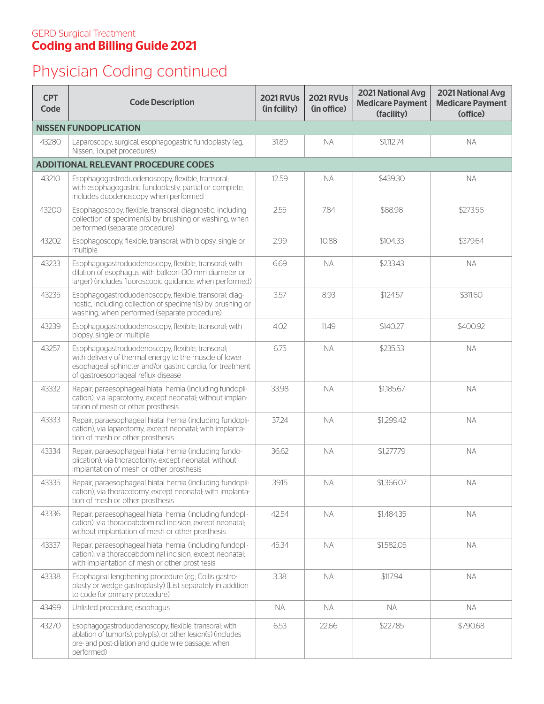## Physician Coding continued

| <b>CPT</b><br>Code                         | <b>Code Description</b>                                                                                                                                                                                       | <b>2021 RVUs</b><br>(in fcility) | <b>2021 RVUs</b><br>(in office) | <b>2021 National Avg</b><br><b>Medicare Payment</b><br>(facility) | 2021 National Avg<br><b>Medicare Payment</b><br>(office) |
|--------------------------------------------|---------------------------------------------------------------------------------------------------------------------------------------------------------------------------------------------------------------|----------------------------------|---------------------------------|-------------------------------------------------------------------|----------------------------------------------------------|
|                                            | <b>NISSEN FUNDOPLICATION</b>                                                                                                                                                                                  |                                  |                                 |                                                                   |                                                          |
| 43280                                      | Laparoscopy, surgical, esophagogastric fundoplasty (eg,<br>Nissen. Toupet procedures)                                                                                                                         | 31.89                            | <b>NA</b>                       | \$1,112.74                                                        | <b>NA</b>                                                |
| <b>ADDITIONAL RELEVANT PROCEDURE CODES</b> |                                                                                                                                                                                                               |                                  |                                 |                                                                   |                                                          |
| 43210                                      | Esophagogastroduodenoscopy, flexible, transoral;<br>with esophagogastric fundoplasty, partial or complete,<br>includes duodenoscopy when performed                                                            | 12.59                            | <b>NA</b>                       | \$439.30                                                          | <b>NA</b>                                                |
| 43200                                      | Esophagoscopy, flexible, transoral; diagnostic, including<br>collection of specimen(s) by brushing or washing, when<br>performed (separate procedure)                                                         | 2.55                             | 7.84                            | \$88.98                                                           | \$273.56                                                 |
| 43202                                      | Esophagoscopy, flexible, transoral; with biopsy, single or<br>multiple                                                                                                                                        | 2.99                             | 10.88                           | \$104.33                                                          | \$379.64                                                 |
| 43233                                      | Esophagogastroduodenoscopy, flexible, transoral; with<br>dilation of esophagus with balloon (30 mm diameter or<br>larger) (includes fluoroscopic guidance, when performed)                                    | 6.69                             | <b>NA</b>                       | \$233.43                                                          | <b>NA</b>                                                |
| 43235                                      | Esophagogastroduodenoscopy, flexible, transoral; diag-<br>nostic, including collection of specimen(s) by brushing or<br>washing, when performed (separate procedure)                                          | 3.57                             | 8.93                            | \$124.57                                                          | \$311.60                                                 |
| 43239                                      | Esophagogastroduodenoscopy, flexible, transoral; with<br>biopsy, single or multiple                                                                                                                           | 4.02                             | 11.49                           | \$140.27                                                          | \$400.92                                                 |
| 43257                                      | Esophagogastroduodenoscopy, flexible, transoral;<br>with delivery of thermal energy to the muscle of lower<br>esophageal sphincter and/or gastric cardia, for treatment<br>of gastroesophageal reflux disease | 6.75                             | <b>NA</b>                       | \$235.53                                                          | <b>NA</b>                                                |
| 43332                                      | Repair, paraesophageal hiatal hernia (including fundopli-<br>cation), via laparotomy, except neonatal; without implan-<br>tation of mesh or other prosthesis                                                  | 33.98                            | <b>NA</b>                       | \$1,185.67                                                        | <b>NA</b>                                                |
| 43333                                      | Repair, paraesophageal hiatal hernia (including fundopli-<br>cation), via laparotomy, except neonatal; with implanta-<br>tion of mesh or other prosthesis                                                     | 37.24                            | <b>NA</b>                       | \$1,299.42                                                        | <b>NA</b>                                                |
| 43334                                      | Repair, paraesophageal hiatal hernia (including fundo-<br>plication), via thoracotomy, except neonatal; without<br>implantation of mesh or other prosthesis                                                   | 36.62                            | <b>NA</b>                       | \$1,277.79                                                        | <b>NA</b>                                                |
| 43335                                      | Repair, paraesophageal hiatal hernia (including fundopli-<br>cation), via thoracotomy, except neonatal; with implanta-<br>tion of mesh or other prosthesis                                                    | 39.15                            | <b>NA</b>                       | \$1,366.07                                                        | ΝA                                                       |
| 43336                                      | Repair, paraesophageal hiatal hernia, (including fundopli-<br>cation), via thoracoabdominal incision, except neonatal;<br>without implantation of mesh or other prosthesis                                    | 42.54                            | <b>NA</b>                       | \$1,484.35                                                        | <b>NA</b>                                                |
| 43337                                      | Repair, paraesophageal hiatal hernia, (including fundopli-<br>cation), via thoracoabdominal incision, except neonatal;<br>with implantation of mesh or other prosthesis                                       | 45.34                            | <b>NA</b>                       | \$1,582.05                                                        | <b>NA</b>                                                |
| 43338                                      | Esophageal lengthening procedure (eg, Collis gastro-<br>plasty or wedge gastroplasty) (List separately in addition<br>to code for primary procedure)                                                          | 3.38                             | <b>NA</b>                       | \$117.94                                                          | <b>NA</b>                                                |
| 43499                                      | Unlisted procedure, esophagus                                                                                                                                                                                 | <b>NA</b>                        | <b>NA</b>                       | <b>NA</b>                                                         | <b>NA</b>                                                |
| 43270                                      | Esophagogastroduodenoscopy, flexible, transoral; with<br>ablation of tumor(s), polyp(s), or other lesion(s) (includes<br>pre- and post-dilation and guide wire passage, when<br>performed)                    | 6.53                             | 22.66                           | \$227.85                                                          | \$790.68                                                 |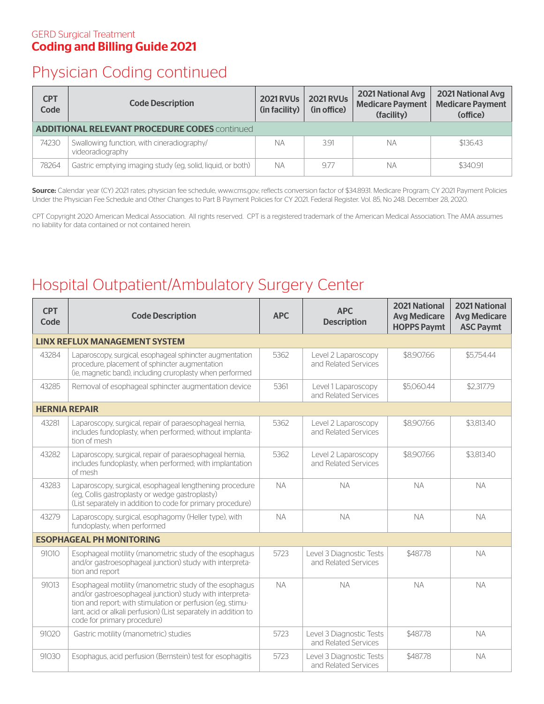### Physician Coding continued

| <b>CPT</b><br>Code                                   | <b>Code Description</b>                                        | <b>2021 RVUs</b><br>(in facility) | <b>2021 RVUs</b><br>(in office) | <b>2021 National Avg</b><br><b>Medicare Payment</b><br>(facility) | <b>2021 National Avg</b><br><b>Medicare Payment</b><br>(office) |  |
|------------------------------------------------------|----------------------------------------------------------------|-----------------------------------|---------------------------------|-------------------------------------------------------------------|-----------------------------------------------------------------|--|
| <b>ADDITIONAL RELEVANT PROCEDURE CODES</b> continued |                                                                |                                   |                                 |                                                                   |                                                                 |  |
| 74230                                                | Swallowing function, with cineradiography/<br>videoradiography | <b>NA</b>                         | 3.91                            | NА                                                                | \$136.43                                                        |  |
| 78264                                                | Gastric emptying imaging study (eg, solid, liquid, or both)    | <b>NA</b>                         | 9.77                            | NА                                                                | \$340.91                                                        |  |

Source: Calendar year (CY) 2021 rates; physician fee schedule, www.cms.gov; reflects conversion factor of \$34.8931. Medicare Program; CY 2021 Payment Policies Under the Physician Fee Schedule and Other Changes to Part B Payment Policies for CY 2021. Federal Register. Vol. 85, No 248. December 28, 2020.

CPT Copyright 2020 American Medical Association. All rights reserved. CPT is a registered trademark of the American Medical Association. The AMA assumes no liability for data contained or not contained herein.

### Hospital Outpatient/Ambulatory Surgery Center

| <b>CPT</b><br>Code                   | <b>Code Description</b>                                                                                                                                                                                                                                                            | <b>APC</b> | <b>APC</b><br><b>Description</b>                 | <b>2021 National</b><br><b>Avg Medicare</b><br><b>HOPPS Paymt</b> | <b>2021 National</b><br><b>Avg Medicare</b><br><b>ASC Paymt</b> |  |
|--------------------------------------|------------------------------------------------------------------------------------------------------------------------------------------------------------------------------------------------------------------------------------------------------------------------------------|------------|--------------------------------------------------|-------------------------------------------------------------------|-----------------------------------------------------------------|--|
| <b>LINX REFLUX MANAGEMENT SYSTEM</b> |                                                                                                                                                                                                                                                                                    |            |                                                  |                                                                   |                                                                 |  |
| 43284                                | Laparoscopy, surgical, esophageal sphincter augmentation<br>procedure, placement of sphincter augmentation<br>(ie, magnetic band), including cruroplasty when performed                                                                                                            | 5362       | Level 2 Laparoscopy<br>and Related Services      | \$8,907.66                                                        | \$5,754.44                                                      |  |
| 43285                                | Removal of esophageal sphincter augmentation device                                                                                                                                                                                                                                | 5361       | Level 1 Laparoscopy<br>and Related Services      | \$5,060.44                                                        | \$2,317.79                                                      |  |
| <b>HERNIA REPAIR</b>                 |                                                                                                                                                                                                                                                                                    |            |                                                  |                                                                   |                                                                 |  |
| 43281                                | Laparoscopy, surgical, repair of paraesophageal hernia,<br>includes fundoplasty, when performed; without implanta-<br>tion of mesh                                                                                                                                                 | 5362       | Level 2 Laparoscopy<br>and Related Services      | \$8,907.66                                                        | \$3,813.40                                                      |  |
| 43282                                | Laparoscopy, surgical, repair of paraesophageal hernia,<br>includes fundoplasty, when performed; with implantation<br>of mesh                                                                                                                                                      | 5362       | Level 2 Laparoscopy<br>and Related Services      | \$8,907.66                                                        | \$3,813.40                                                      |  |
| 43283                                | Laparoscopy, surgical, esophageal lengthening procedure<br>(eq, Collis gastroplasty or wedge gastroplasty)<br>(List separately in addition to code for primary procedure)                                                                                                          | <b>NA</b>  | <b>NA</b>                                        | <b>NA</b>                                                         | <b>NA</b>                                                       |  |
| 43279                                | Laparoscopy, surgical, esophagomy (Heller type), with<br>fundoplasty, when performed                                                                                                                                                                                               | <b>NA</b>  | <b>NA</b>                                        | <b>NA</b>                                                         | <b>NA</b>                                                       |  |
| <b>ESOPHAGEAL PH MONITORING</b>      |                                                                                                                                                                                                                                                                                    |            |                                                  |                                                                   |                                                                 |  |
| 91010                                | Esophageal motility (manometric study of the esophagus<br>and/or gastroesophageal junction) study with interpreta-<br>tion and report                                                                                                                                              | 5723       | Level 3 Diagnostic Tests<br>and Related Services | \$487.78                                                          | <b>NA</b>                                                       |  |
| 91013                                | Esophageal motility (manometric study of the esophagus<br>and/or gastroesophageal junction) study with interpreta-<br>tion and report; with stimulation or perfusion (eq, stimu-<br>lant, acid or alkali perfusion) (List separately in addition to<br>code for primary procedure) | <b>NA</b>  | <b>NA</b>                                        | <b>NA</b>                                                         | <b>NA</b>                                                       |  |
| 91020                                | Gastric motility (manometric) studies                                                                                                                                                                                                                                              | 5723       | Level 3 Diagnostic Tests<br>and Related Services | \$487.78                                                          | <b>NA</b>                                                       |  |
| 91030                                | Esophagus, acid perfusion (Bernstein) test for esophagitis                                                                                                                                                                                                                         | 5723       | Level 3 Diagnostic Tests<br>and Related Services | \$487.78                                                          | <b>NA</b>                                                       |  |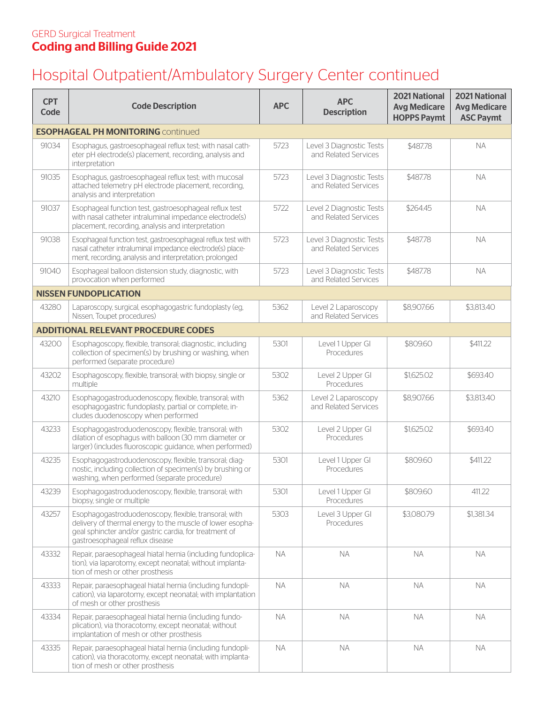## Hospital Outpatient/Ambulatory Surgery Center continued

| <b>CPT</b><br>Code                        | <b>Code Description</b>                                                                                                                                                                                         | <b>APC</b> | <b>APC</b><br><b>Description</b>                 | <b>2021 National</b><br><b>Avg Medicare</b><br><b>HOPPS Paymt</b> | <b>2021 National</b><br><b>Avg Medicare</b><br><b>ASC Paymt</b> |  |
|-------------------------------------------|-----------------------------------------------------------------------------------------------------------------------------------------------------------------------------------------------------------------|------------|--------------------------------------------------|-------------------------------------------------------------------|-----------------------------------------------------------------|--|
| <b>ESOPHAGEAL PH MONITORING Continued</b> |                                                                                                                                                                                                                 |            |                                                  |                                                                   |                                                                 |  |
| 91034                                     | Esophagus, gastroesophageal reflux test; with nasal cath-<br>eter pH electrode(s) placement, recording, analysis and<br>interpretation                                                                          | 5723       | Level 3 Diagnostic Tests<br>and Related Services | \$487.78                                                          | <b>NA</b>                                                       |  |
| 91035                                     | Esophagus, gastroesophageal reflux test; with mucosal<br>attached telemetry pH electrode placement, recording,<br>analysis and interpretation                                                                   | 5723       | Level 3 Diagnostic Tests<br>and Related Services | \$487.78                                                          | <b>NA</b>                                                       |  |
| 91037                                     | Esophageal function test, gastroesophageal reflux test<br>with nasal catheter intraluminal impedance electrode(s)<br>placement, recording, analysis and interpretation                                          | 5722       | Level 2 Diagnostic Tests<br>and Related Services | \$264.45                                                          | <b>NA</b>                                                       |  |
| 91038                                     | Esophageal function test, gastroesophageal reflux test with<br>nasal catheter intraluminal impedance electrode(s) place-<br>ment, recording, analysis and interpretation; prolonged                             | 5723       | Level 3 Diagnostic Tests<br>and Related Services | \$487.78                                                          | <b>NA</b>                                                       |  |
| 91040                                     | Esophageal balloon distension study, diagnostic, with<br>provocation when performed                                                                                                                             | 5723       | Level 3 Diagnostic Tests<br>and Related Services | \$487.78                                                          | <b>NA</b>                                                       |  |
|                                           | <b>NISSEN FUNDOPLICATION</b>                                                                                                                                                                                    |            |                                                  |                                                                   |                                                                 |  |
| 43280                                     | Laparoscopy, surgical, esophagogastric fundoplasty (eg,<br>Nissen, Toupet procedures)                                                                                                                           | 5362       | Level 2 Laparoscopy<br>and Related Services      | \$8,907.66                                                        | \$3,813.40                                                      |  |
|                                           | <b>ADDITIONAL RELEVANT PROCEDURE CODES</b>                                                                                                                                                                      |            |                                                  |                                                                   |                                                                 |  |
| 43200                                     | Esophagoscopy, flexible, transoral; diagnostic, including<br>collection of specimen(s) by brushing or washing, when<br>performed (separate procedure)                                                           | 5301       | Level 1 Upper GI<br>Procedures                   | \$809.60                                                          | \$411.22                                                        |  |
| 43202                                     | Esophagoscopy, flexible, transoral; with biopsy, single or<br>multiple                                                                                                                                          | 5302       | Level 2 Upper GI<br>Procedures                   | \$1,625.02                                                        | \$693.40                                                        |  |
| 43210                                     | Esophagogastroduodenoscopy, flexible, transoral; with<br>esophagogastric fundoplasty, partial or complete, in-<br>cludes duodenoscopy when performed                                                            | 5362       | Level 2 Laparoscopy<br>and Related Services      | \$8,907.66                                                        | \$3,813.40                                                      |  |
| 43233                                     | Esophagogastroduodenoscopy, flexible, transoral; with<br>dilation of esophagus with balloon (30 mm diameter or<br>larger) (includes fluoroscopic quidance, when performed)                                      | 5302       | Level 2 Upper GI<br>Procedures                   | \$1,625.02                                                        | \$693.40                                                        |  |
| 43235                                     | Esophagogastroduodenoscopy, flexible, transoral; diag-<br>nostic, including collection of specimen(s) by brushing or<br>washing, when performed (separate procedure)                                            | 5301       | Level 1 Upper GI<br>Procedures                   | \$809.60                                                          | \$411.22                                                        |  |
| 43239                                     | Esophagogastroduodenoscopy, flexible, transoral; with<br>biopsy, single or multiple                                                                                                                             | 5301       | Level 1 Upper GI<br>Procedures                   | \$809.60                                                          | 411.22                                                          |  |
| 43257                                     | Esophagogastroduodenoscopy, flexible, transoral; with<br>delivery of thermal energy to the muscle of lower esopha-<br>geal sphincter and/or gastric cardia, for treatment of<br>gastroesophageal reflux disease | 5303       | Level 3 Upper GI<br>Procedures                   | \$3,080.79                                                        | \$1,381.34                                                      |  |
| 43332                                     | Repair, paraesophageal hiatal hernia (including fundoplica-<br>tion), via laparotomy, except neonatal; without implanta-<br>tion of mesh or other prosthesis                                                    | <b>NA</b>  | <b>NA</b>                                        | <b>NA</b>                                                         | <b>NA</b>                                                       |  |
| 43333                                     | Repair, paraesophageal hiatal hernia (including fundopli-<br>cation), via laparotomy, except neonatal; with implantation<br>of mesh or other prosthesis                                                         | <b>NA</b>  | <b>NA</b>                                        | <b>NA</b>                                                         | <b>NA</b>                                                       |  |
| 43334                                     | Repair, paraesophageal hiatal hernia (including fundo-<br>plication), via thoracotomy, except neonatal; without<br>implantation of mesh or other prosthesis                                                     | <b>NA</b>  | <b>NA</b>                                        | <b>NA</b>                                                         | NA.                                                             |  |
| 43335                                     | Repair, paraesophageal hiatal hernia (including fundopli-<br>cation), via thoracotomy, except neonatal; with implanta-<br>tion of mesh or other prosthesis                                                      | <b>NA</b>  | <b>NA</b>                                        | <b>NA</b>                                                         | NA.                                                             |  |